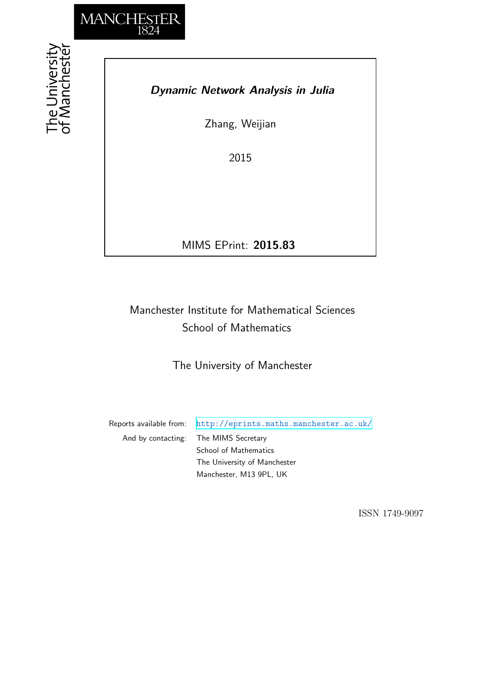

# *Dynamic Network Analysis in Julia*

Zhang, Weijian

2015

MIMS EPrint: **2015.83**

# Manchester Institute for Mathematical Sciences School of Mathematics

The University of Manchester

Reports available from: <http://eprints.maths.manchester.ac.uk/> And by contacting: The MIMS Secretary School of Mathematics The University of Manchester

Manchester, M13 9PL, UK

ISSN 1749-9097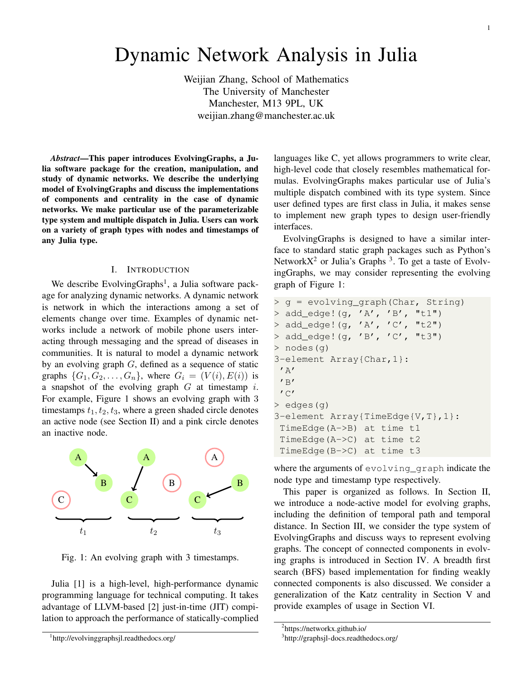# Dynamic Network Analysis in Julia

Weijian Zhang, School of Mathematics The University of Manchester Manchester, M13 9PL, UK weijian.zhang@manchester.ac.uk

*Abstract*—This paper introduces EvolvingGraphs, a Julia software package for the creation, manipulation, and study of dynamic networks. We describe the underlying model of EvolvingGraphs and discuss the implementations of components and centrality in the case of dynamic networks. We make particular use of the parameterizable type system and multiple dispatch in Julia. Users can work on a variety of graph types with nodes and timestamps of any Julia type.

### I. INTRODUCTION

We describe EvolvingGraphs<sup>1</sup>, a Julia software package for analyzing dynamic networks. A dynamic network is network in which the interactions among a set of elements change over time. Examples of dynamic networks include a network of mobile phone users interacting through messaging and the spread of diseases in communities. It is natural to model a dynamic network by an evolving graph G, defined as a sequence of static graphs  $\{G_1, G_2, \ldots, G_n\}$ , where  $G_i = (V(i), E(i))$  is a snapshot of the evolving graph  $G$  at timestamp  $i$ . For example, Figure 1 shows an evolving graph with 3 timestamps  $t_1, t_2, t_3$ , where a green shaded circle denotes an active node (see Section II) and a pink circle denotes an inactive node.



Fig. 1: An evolving graph with 3 timestamps.

Julia [1] is a high-level, high-performance dynamic programming language for technical computing. It takes advantage of LLVM-based [2] just-in-time (JIT) compilation to approach the performance of statically-complied

languages like C, yet allows programmers to write clear, high-level code that closely resembles mathematical formulas. EvolvingGraphs makes particular use of Julia's multiple dispatch combined with its type system. Since user defined types are first class in Julia, it makes sense to implement new graph types to design user-friendly interfaces.

EvolvingGraphs is designed to have a similar interface to standard static graph packages such as Python's Network $X^2$  or Julia's Graphs<sup>3</sup>. To get a taste of EvolvingGraphs, we may consider representing the evolving graph of Figure 1:

```
> g = evolving_graph(Char, String)
> add_edge!(g, 'A', 'B', "t1")
> add_edge! (g, 'A', 'C', "t2")
> add_edge!(g, 'B', 'C', "t3")
> nodes(g)
3-element Array{Char,1}:
 ' A''B'' C'> edges(g)
3-element Array{TimeEdge{V,T},1}:
 TimeEdge(A->B) at time t1
 TimeEdge(A->C) at time t2
 TimeEdge(B->C) at time t3
```
where the arguments of evolving graph indicate the node type and timestamp type respectively.

This paper is organized as follows. In Section II, we introduce a node-active model for evolving graphs, including the definition of temporal path and temporal distance. In Section III, we consider the type system of EvolvingGraphs and discuss ways to represent evolving graphs. The concept of connected components in evolving graphs is introduced in Section IV. A breadth first search (BFS) based implementation for finding weakly connected components is also discussed. We consider a generalization of the Katz centrality in Section V and provide examples of usage in Section VI.

<sup>1</sup> http://evolvinggraphsjl.readthedocs.org/

<sup>&</sup>lt;sup>2</sup>https://networkx.github.io/

<sup>3</sup> http://graphsjl-docs.readthedocs.org/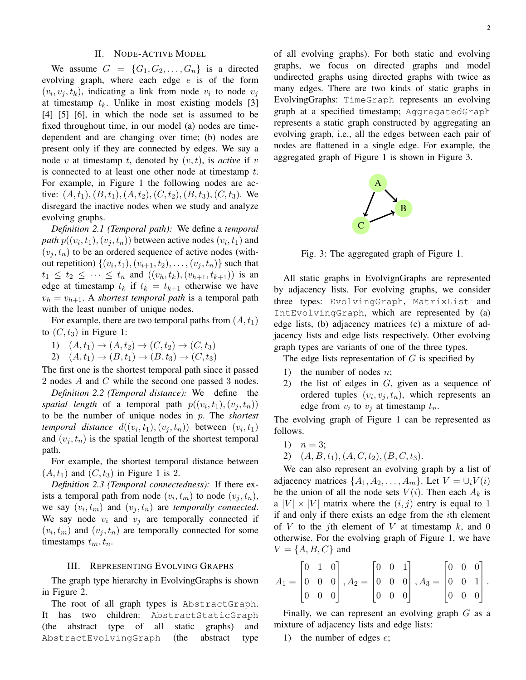#### II. NODE-ACTIVE MODEL

We assume  $G = \{G_1, G_2, \ldots, G_n\}$  is a directed evolving graph, where each edge  $e$  is of the form  $(v_i, v_j, t_k)$ , indicating a link from node  $v_i$  to node  $v_j$ at timestamp  $t_k$ . Unlike in most existing models [3] [4] [5] [6], in which the node set is assumed to be fixed throughout time, in our model (a) nodes are timedependent and are changing over time; (b) nodes are present only if they are connected by edges. We say a node v at timestamp t, denoted by  $(v, t)$ , is *active* if v is connected to at least one other node at timestamp  $t$ . For example, in Figure 1 the following nodes are active:  $(A, t_1), (B, t_1), (A, t_2), (C, t_2), (B, t_3), (C, t_3)$ . We disregard the inactive nodes when we study and analyze evolving graphs.

*Definition 2.1 (Temporal path):* We define a *temporal path*  $p((v_i, t_1), (v_j, t_n))$  between active nodes  $(v_i, t_1)$  and  $(v_i, t_n)$  to be an ordered sequence of active nodes (without repetition)  $\{(v_i, t_1), (v_{i+1}, t_2), \ldots, (v_j, t_n)\}$  such that  $t_1 \leq t_2 \leq \cdots \leq t_n$  and  $((v_h, t_k), (v_{h+1}, t_{k+1}))$  is an edge at timestamp  $t_k$  if  $t_k = t_{k+1}$  otherwise we have  $v_h = v_{h+1}$ . A *shortest temporal path* is a temporal path with the least number of unique nodes.

For example, there are two temporal paths from  $(A, t<sub>1</sub>)$ to  $(C, t_3)$  in Figure 1:

- 1)  $(A, t_1) \to (A, t_2) \to (C, t_2) \to (C, t_3)$
- 2)  $(A, t_1) \rightarrow (B, t_1) \rightarrow (B, t_3) \rightarrow (C, t_3)$

The first one is the shortest temporal path since it passed 2 nodes A and C while the second one passed 3 nodes.

*Definition 2.2 (Temporal distance):* We define the spatial length of a temporal path  $p((v_i,t_1),(v_j,t_n))$ to be the number of unique nodes in p. The *shortest temporal distance*  $d((v_i, t_1), (v_j, t_n))$  between  $(v_i, t_1)$ and  $(v_i, t_n)$  is the spatial length of the shortest temporal path.

For example, the shortest temporal distance between  $(A, t_1)$  and  $(C, t_3)$  in Figure 1 is 2.

*Definition 2.3 (Temporal connectedness):* If there exists a temporal path from node  $(v_i, t_m)$  to node  $(v_j, t_n)$ , we say  $(v_i, t_m)$  and  $(v_j, t_n)$  are *temporally connected*. We say node  $v_i$  and  $v_j$  are temporally connected if  $(v_i, t_m)$  and  $(v_j, t_n)$  are temporally connected for some timestamps  $t_m, t_n$ .

#### III. REPRESENTING EVOLVING GRAPHS

The graph type hierarchy in EvolvingGraphs is shown in Figure 2.

The root of all graph types is AbstractGraph. It has two children: AbstractStaticGraph (the abstract type of all static graphs) and AbstractEvolvingGraph (the abstract type of all evolving graphs). For both static and evolving graphs, we focus on directed graphs and model undirected graphs using directed graphs with twice as many edges. There are two kinds of static graphs in EvolvingGraphs: TimeGraph represents an evolving graph at a specified timestamp; AggregatedGraph represents a static graph constructed by aggregating an evolving graph, i.e., all the edges between each pair of nodes are flattened in a single edge. For example, the aggregated graph of Figure 1 is shown in Figure 3.



Fig. 3: The aggregated graph of Figure 1.

All static graphs in EvolvignGraphs are represented by adjacency lists. For evolving graphs, we consider three types: EvolvingGraph, MatrixList and IntEvolvingGraph, which are represented by (a) edge lists, (b) adjacency matrices (c) a mixture of adjacency lists and edge lists respectively. Other evolving graph types are variants of one of the three types.

The edge lists representation of  $G$  is specified by

- 1) the number of nodes  $n$ ;
- 2) the list of edges in  $G$ , given as a sequence of ordered tuples  $(v_i, v_j, t_n)$ , which represents an edge from  $v_i$  to  $v_j$  at timestamp  $t_n$ .

The evolving graph of Figure 1 can be represented as follows.

- 1)  $n = 3$ ;
- 2)  $(A, B, t_1), (A, C, t_2), (B, C, t_3).$

We can also represent an evolving graph by a list of adjacency matrices  $\{A_1, A_2, \ldots, A_m\}$ . Let  $V = \bigcup_i V(i)$ be the union of all the node sets  $V(i)$ . Then each  $A_k$  is a  $|V| \times |V|$  matrix where the  $(i, j)$  entry is equal to 1 if and only if there exists an edge from the ith element of V to the jth element of V at timestamp  $k$ , and 0 otherwise. For the evolving graph of Figure 1, we have  $V = \{A, B, C\}$  and

$$
A_1 = \begin{bmatrix} 0 & 1 & 0 \\ 0 & 0 & 0 \\ 0 & 0 & 0 \end{bmatrix}, A_2 = \begin{bmatrix} 0 & 0 & 1 \\ 0 & 0 & 0 \\ 0 & 0 & 0 \end{bmatrix}, A_3 = \begin{bmatrix} 0 & 0 & 0 \\ 0 & 0 & 1 \\ 0 & 0 & 0 \end{bmatrix}.
$$

Finally, we can represent an evolving graph  $G$  as a mixture of adjacency lists and edge lists:

1) the number of edges  $e$ ;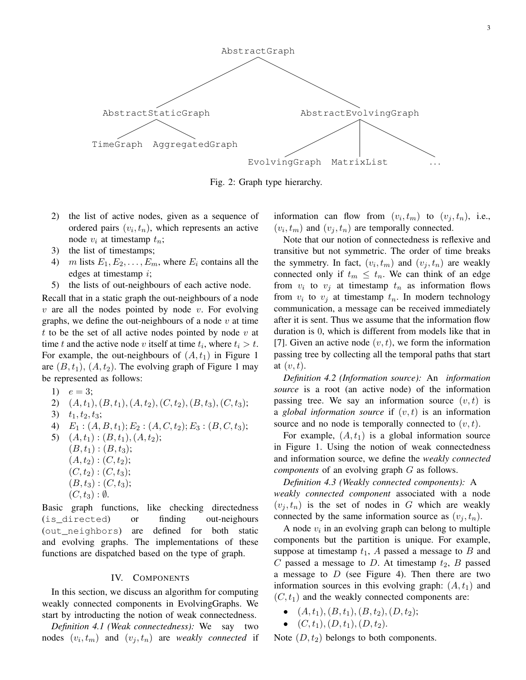

Fig. 2: Graph type hierarchy.

- 2) the list of active nodes, given as a sequence of ordered pairs  $(v_i, t_n)$ , which represents an active node  $v_i$  at timestamp  $t_n$ ;
- 3) the list of timestamps;
- 4) *m* lists  $E_1, E_2, \ldots, E_m$ , where  $E_i$  contains all the edges at timestamp i;
- 5) the lists of out-neighbours of each active node.

Recall that in a static graph the out-neighbours of a node  $v$  are all the nodes pointed by node  $v$ . For evolving graphs, we define the out-neighbours of a node  $v$  at time t to be the set of all active nodes pointed by node  $v$  at time t and the active node v itself at time  $t_i$ , where  $t_i > t$ . For example, the out-neighbours of  $(A, t_1)$  in Figure 1 are  $(B, t_1), (A, t_2)$ . The evolving graph of Figure 1 may be represented as follows:

- 1)  $e = 3;$
- 2)  $(A, t_1), (B, t_1), (A, t_2), (C, t_2), (B, t_3), (C, t_3);$
- 3)  $t_1, t_2, t_3;$
- 4)  $E_1$  :  $(A, B, t_1)$ ;  $E_2$  :  $(A, C, t_2)$ ;  $E_3$  :  $(B, C, t_3)$ ;

5)  $(A, t_1) : (B, t_1), (A, t_2);$  $(B, t_1) : (B, t_3);$  $(A, t_2) : (C, t_2);$  $(C, t_2) : (C, t_3);$  $(B, t_3) : (C, t_3);$  $(C, t_3): \emptyset.$ 

Basic graph functions, like checking directedness (is\_directed) or finding out-neighours (out\_neighbors) are defined for both static and evolving graphs. The implementations of these functions are dispatched based on the type of graph.

#### IV. COMPONENTS

In this section, we discuss an algorithm for computing weakly connected components in EvolvingGraphs. We start by introducting the notion of weak connectedness.

*Definition 4.1 (Weak connectedness):* We say two nodes  $(v_i, t_m)$  and  $(v_j, t_n)$  are *weakly connected* if information can flow from  $(v_i, t_m)$  to  $(v_j, t_n)$ , i.e.,  $(v_i, t_m)$  and  $(v_j, t_n)$  are temporally connected.

Note that our notion of connectedness is reflexive and transitive but not symmetric. The order of time breaks the symmetry. In fact,  $(v_i, t_m)$  and  $(v_j, t_n)$  are weakly connected only if  $t_m \n\t\leq t_n$ . We can think of an edge from  $v_i$  to  $v_j$  at timestamp  $t_n$  as information flows from  $v_i$  to  $v_j$  at timestamp  $t_n$ . In modern technology communication, a message can be received immediately after it is sent. Thus we assume that the information flow duration is 0, which is different from models like that in [7]. Given an active node  $(v, t)$ , we form the information passing tree by collecting all the temporal paths that start at  $(v, t)$ .

*Definition 4.2 (Information source):* An *information source* is a root (an active node) of the information passing tree. We say an information source  $(v, t)$  is a *global information source* if  $(v, t)$  is an information source and no node is temporally connected to  $(v, t)$ .

For example,  $(A, t_1)$  is a global information source in Figure 1. Using the notion of weak connectedness and information source, we define the *weakly connected components* of an evolving graph G as follows.

*Definition 4.3 (Weakly connected components):* A *weakly connected component* associated with a node  $(v_i, t_n)$  is the set of nodes in G which are weakly connected by the same information source as  $(v_j, t_n)$ .

A node  $v_i$  in an evolving graph can belong to multiple components but the partition is unique. For example, suppose at timestamp  $t_1$ , A passed a message to B and C passed a message to D. At timestamp  $t_2$ , B passed a message to  $D$  (see Figure 4). Then there are two information sources in this evolving graph:  $(A, t_1)$  and  $(C, t_1)$  and the weakly connected components are:

- $(A, t_1), (B, t_1), (B, t_2), (D, t_2);$
- $(C, t_1), (D, t_1), (D, t_2).$

Note  $(D, t_2)$  belongs to both components.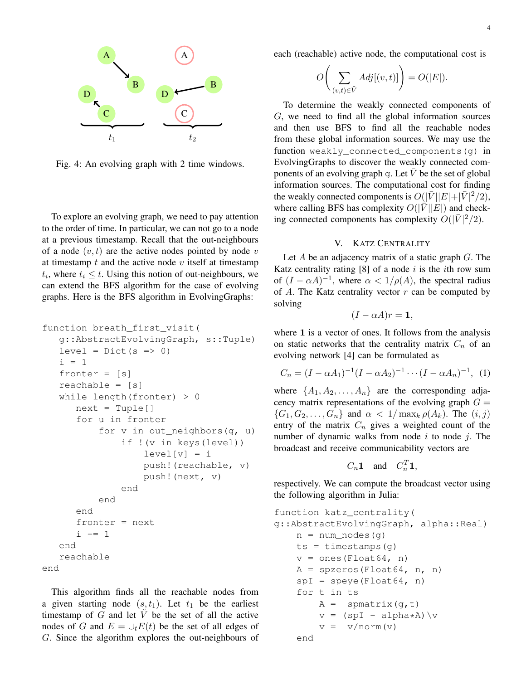

Fig. 4: An evolving graph with 2 time windows.

To explore an evolving graph, we need to pay attention to the order of time. In particular, we can not go to a node at a previous timestamp. Recall that the out-neighbours of a node  $(v, t)$  are the active nodes pointed by node v at timestamp  $t$  and the active node  $v$  itself at timestamp  $t_i$ , where  $t_i \leq t$ . Using this notion of out-neighbours, we can extend the BFS algorithm for the case of evolving graphs. Here is the BFS algorithm in EvolvingGraphs:

```
function breath_first_visit(
   g::AbstractEvolvingGraph, s::Tuple)
   level = Dict(s \Rightarrow 0)i = 1fronter = [s]
   reachable = [s]
   while length(fronter) > 0
      next = Tuple[]for u in fronter
          for v in out_neighbors(g, u)
              if !(v in keys(level))
                   level[v] = ipush!(reachable, v)
                   push!(next, v)
               end
          end
      end
      fronter = next
      i + = 1end
   reachable
end
```
This algorithm finds all the reachable nodes from a given starting node  $(s, t_1)$ . Let  $t_1$  be the earliest timestamp of G and let  $\tilde{V}$  be the set of all the active nodes of G and  $E = \bigcup_t E(t)$  be the set of all edges of G. Since the algorithm explores the out-neighbours of each (reachable) active node, the computational cost is

$$
O\bigg(\sum_{(v,t)\in\tilde{V}}Adj[(v,t)]\bigg) = O(|E|).
$$

To determine the weakly connected components of G, we need to find all the global information sources and then use BFS to find all the reachable nodes from these global information sources. We may use the function weakly\_connected\_components(g) in EvolvingGraphs to discover the weakly connected components of an evolving graph q. Let  $\overline{V}$  be the set of global information sources. The computational cost for finding the weakly connected components is  $O(|\bar{V}||E|+|\bar{V}|^2/2)$ , where calling BFS has complexity  $O(|\bar{V}||E|)$  and checking connected components has complexity  $O(|\bar{V}|^2/2)$ .

## V. KATZ CENTRALITY

Let A be an adjacency matrix of a static graph  $G$ . The Katz centrality rating  $[8]$  of a node i is the ith row sum of  $(I - \alpha A)^{-1}$ , where  $\alpha < 1/\rho(A)$ , the spectral radius of A. The Katz centrality vector  $r$  can be computed by solving

$$
(I - \alpha A)r = \mathbf{1},
$$

where 1 is a vector of ones. It follows from the analysis on static networks that the centrality matrix  $C_n$  of an evolving network [4] can be formulated as

$$
C_n = (I - \alpha A_1)^{-1} (I - \alpha A_2)^{-1} \cdots (I - \alpha A_n)^{-1}, \tag{1}
$$

where  $\{A_1, A_2, \ldots, A_n\}$  are the corresponding adjacency matrix representations of the evolving graph  $G =$  ${G_1, G_2, \ldots, G_n}$  and  $\alpha < 1/\max_k \rho(A_k)$ . The  $(i, j)$ entry of the matrix  $C_n$  gives a weighted count of the number of dynamic walks from node  $i$  to node  $j$ . The broadcast and receive communicability vectors are

$$
C_n \mathbf{1} \quad \text{and} \quad C_n^T \mathbf{1},
$$

respectively. We can compute the broadcast vector using the following algorithm in Julia:

```
function katz_centrality(
g::AbstractEvolvingGraph, alpha::Real)
    n = num\_nodes(q)ts = timestamps(g)v = ones(Float64, n)A = spzeros(Float64, n, n)spI = speye(Float64, n)for t in ts
        A = spmatrix(g,t)
        v = (spf - alpha*A)\vee vv = v/norm(v)end
```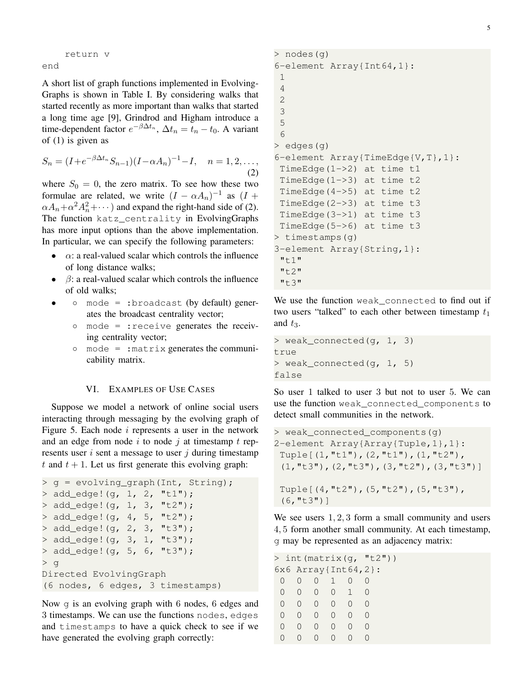return v end

A short list of graph functions implemented in Evolving-Graphs is shown in Table I. By considering walks that started recently as more important than walks that started a long time age [9], Grindrod and Higham introduce a time-dependent factor  $e^{-\beta \Delta t_n}$ ,  $\Delta t_n = t_n - t_0$ . A variant of (1) is given as

$$
S_n = (I + e^{-\beta \Delta t_n} S_{n-1}) (I - \alpha A_n)^{-1} - I, \quad n = 1, 2, \dots,
$$
\n(2)

where  $S_0 = 0$ , the zero matrix. To see how these two formulae are related, we write  $(I - \alpha A_n)^{-1}$  as  $(I +$  $\alpha A_n + \alpha^2 A_n^2 + \cdots$ ) and expand the right-hand side of (2). The function katz\_centrality in EvolvingGraphs has more input options than the above implementation. In particular, we can specify the following parameters:

- $\alpha$ : a real-valued scalar which controls the influence of long distance walks;
- $\bullet$   $\beta$ : a real-valued scalar which controls the influence of old walks;
- mode = :broadcast (by default) generates the broadcast centrality vector;
	- mode = :receive generates the receiving centrality vector;
	- mode = :matrix generates the communicability matrix.

## VI. EXAMPLES OF USE CASES

Suppose we model a network of online social users interacting through messaging by the evolving graph of Figure 5. Each node  $i$  represents a user in the network and an edge from node i to node j at timestamp t represents user  $i$  sent a message to user  $j$  during timestamp t and  $t + 1$ . Let us first generate this evolving graph:

```
> g = evolving_graph(Int, String);
> add_edge! (g, 1, 2, "t1");
> add_edge!(g, 1, 3, "t2");
> add\_edge! (q, 4, 5, "t2");> add_edge!(g, 2, 3, "t3");
> add_edge!(q, 3, 1, "t3");
> add_edge!(g, 5, 6, "t3");
> g
Directed EvolvingGraph
(6 nodes, 6 edges, 3 timestamps)
```
Now g is an evolving graph with 6 nodes, 6 edges and 3 timestamps. We can use the functions nodes, edges and timestamps to have a quick check to see if we have generated the evolving graph correctly:

```
> nodes(g)
6-element Array{Int64,1}:
 1
 4
 2
 3
 5
 6
> edges(g)
6-element Array{TimeEdge{V,T},1}:
 TimeEdge(1->2) at time t1
 TimeEdge(1->3) at time t2
 TimeEdge(4->5) at time t2
 TimeEdge(2->3) at time t3
 TimeEdge(3->1) at time t3
 TimeEdge(5->6) at time t3
> timestamps(g)
3-element Array{String,1}:
 "t1"
 "t2"
 "t3"
```
We use the function weak\_connected to find out if two users "talked" to each other between timestamp  $t_1$ and  $t_3$ .

```
> weak_connected(g, 1, 3)
true
> weak_connected(g, 1, 5)
false
```
So user 1 talked to user 3 but not to user 5. We can use the function weak\_connected\_components to detect small communities in the network.

```
> weak_connected_components(g)
2-element Array{Array{Tuple,1},1}:
 Tuple[(1,"t1"),(2,"t1"),(1,"t2"),
 (1,"t3"),(2,"t3"),(3,"t2"),(3,"t3")]
 Tuple[(4,"t2"),(5,"t2"),(5,"t3"),
 (6,"t3")]
```
We see users  $1, 2, 3$  form a small community and users 4, 5 form another small community. At each timestamp, g may be represented as an adjacency matrix:

| > int (matrix $(q, "t2")$ |   |                  |                  |                    |                     |  |
|---------------------------|---|------------------|------------------|--------------------|---------------------|--|
|                           |   |                  |                  |                    | 6x6 Array{Int64,2}: |  |
|                           |   | $\left( \right)$ | $\overline{1}$   |                    |                     |  |
| $\left( \right)$          | 0 | $\bigcap$        | $\bigcap$        | $\overline{1}$     | $\left( \right)$    |  |
| $\left( \right)$          |   | $\bigcap$        | $\bigcap$        | $\left( \right)$   |                     |  |
| $\left( \right)$          |   | $\left( \right)$ | $\left( \right)$ | $\left( \right)$   |                     |  |
| $\left( \right)$          |   | $\left( \right)$ | $\left( \right)$ | $\left( \ \right)$ |                     |  |
|                           |   |                  |                  |                    |                     |  |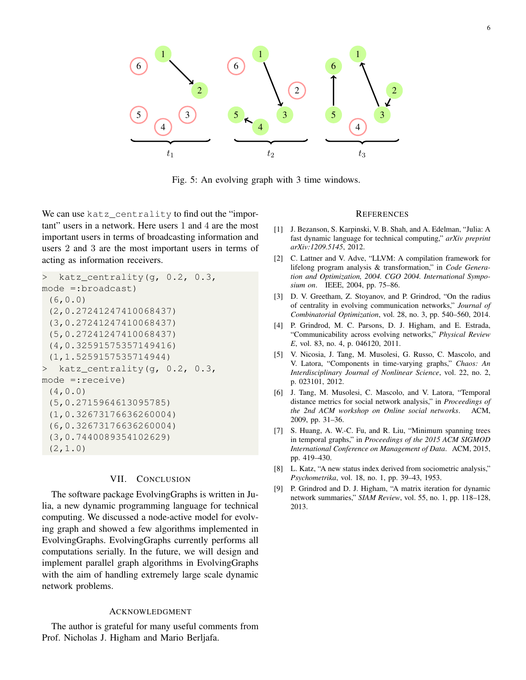

Fig. 5: An evolving graph with 3 time windows.

We can use katz centrality to find out the "important" users in a network. Here users 1 and 4 are the most important users in terms of broadcasting information and users 2 and 3 are the most important users in terms of acting as information receivers.

```
> katz_centrality(g, 0.2, 0.3,
mode =:broadcast)
 (6,0.0)
 (2,0.27241247410068437)
 (3,0.27241247410068437)
 (5,0.27241247410068437)
 (4,0.32591575357149416)
 (1,1.5259157535714944)
> katz_centrality(g, 0.2, 0.3,
mode =:receive)
 (4,0.0)
 (5,0.2715964613095785)
 (1,0.32673176636260004)
 (6,0.32673176636260004)
 (3,0.7440089354102629)
 (2,1.0)
```
# VII. CONCLUSION

The software package EvolvingGraphs is written in Julia, a new dynamic programming language for technical computing. We discussed a node-active model for evolving graph and showed a few algorithms implemented in EvolvingGraphs. EvolvingGraphs currently performs all computations serially. In the future, we will design and implement parallel graph algorithms in EvolvingGraphs with the aim of handling extremely large scale dynamic network problems.

#### ACKNOWLEDGMENT

The author is grateful for many useful comments from Prof. Nicholas J. Higham and Mario Berljafa.

#### **REFERENCES**

- [1] J. Bezanson, S. Karpinski, V. B. Shah, and A. Edelman, "Julia: A fast dynamic language for technical computing," *arXiv preprint arXiv:1209.5145*, 2012.
- [2] C. Lattner and V. Adve, "LLVM: A compilation framework for lifelong program analysis & transformation," in *Code Generation and Optimization, 2004. CGO 2004. International Symposium on*. IEEE, 2004, pp. 75–86.
- [3] D. V. Greetham, Z. Stoyanov, and P. Grindrod, "On the radius of centrality in evolving communication networks," *Journal of Combinatorial Optimization*, vol. 28, no. 3, pp. 540–560, 2014.
- [4] P. Grindrod, M. C. Parsons, D. J. Higham, and E. Estrada, "Communicability across evolving networks," *Physical Review E*, vol. 83, no. 4, p. 046120, 2011.
- [5] V. Nicosia, J. Tang, M. Musolesi, G. Russo, C. Mascolo, and V. Latora, "Components in time-varying graphs," *Chaos: An Interdisciplinary Journal of Nonlinear Science*, vol. 22, no. 2, p. 023101, 2012.
- [6] J. Tang, M. Musolesi, C. Mascolo, and V. Latora, "Temporal distance metrics for social network analysis," in *Proceedings of the 2nd ACM workshop on Online social networks*. ACM, 2009, pp. 31–36.
- [7] S. Huang, A. W.-C. Fu, and R. Liu, "Minimum spanning trees in temporal graphs," in *Proceedings of the 2015 ACM SIGMOD International Conference on Management of Data*. ACM, 2015, pp. 419–430.
- [8] L. Katz, "A new status index derived from sociometric analysis," *Psychometrika*, vol. 18, no. 1, pp. 39–43, 1953.
- [9] P. Grindrod and D. J. Higham, "A matrix iteration for dynamic network summaries," *SIAM Review*, vol. 55, no. 1, pp. 118–128, 2013.